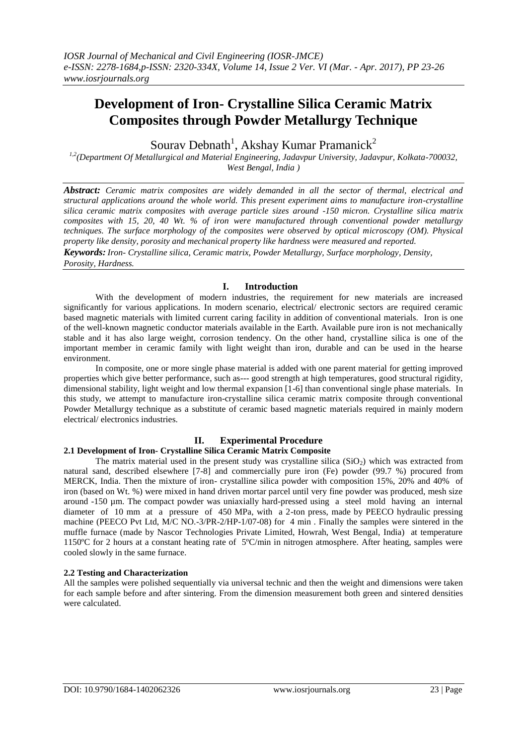# **Development of Iron- Crystalline Silica Ceramic Matrix Composites through Powder Metallurgy Technique**

Sourav Debnath<sup>1</sup>, Akshay Kumar Pramanick<sup>2</sup>

*1,2(Department Of Metallurgical and Material Engineering, Jadavpur University, Jadavpur, Kolkata-700032, West Bengal, India )*

*Abstract: Ceramic matrix composites are widely demanded in all the sector of thermal, electrical and structural applications around the whole world. This present experiment aims to manufacture iron-crystalline silica ceramic matrix composites with average particle sizes around -150 micron. Crystalline silica matrix composites with 15, 20, 40 Wt. % of iron were manufactured through conventional powder metallurgy techniques. The surface morphology of the composites were observed by optical microscopy (OM). Physical property like density, porosity and mechanical property like hardness were measured and reported. Keywords: Iron- Crystalline silica, Ceramic matrix, Powder Metallurgy, Surface morphology, Density, Porosity, Hardness.*

## **I. Introduction**

With the development of modern industries, the requirement for new materials are increased significantly for various applications. In modern scenario, electrical/ electronic sectors are required ceramic based magnetic materials with limited current caring facility in addition of conventional materials. Iron is one of the well-known magnetic conductor materials available in the Earth. Available pure iron is not mechanically stable and it has also large weight, corrosion tendency. On the other hand, crystalline silica is one of the important member in ceramic family with light weight than iron, durable and can be used in the hearse environment.

In composite, one or more single phase material is added with one parent material for getting improved properties which give better performance, such as--- good strength at high temperatures, good structural rigidity, dimensional stability, light weight and low thermal expansion [1-6] than conventional single phase materials. In this study, we attempt to manufacture iron-crystalline silica ceramic matrix composite through conventional Powder Metallurgy technique as a substitute of ceramic based magnetic materials required in mainly modern electrical/ electronics industries.

#### **II. Experimental Procedure 2.1 Development of Iron- Crystalline Silica Ceramic Matrix Composite**

The matrix material used in the present study was crystalline silica  $(SiO<sub>2</sub>)$  which was extracted from natural sand, described elsewhere [7-8] and commercially pure iron (Fe) powder (99.7 %) procured from MERCK, India. Then the mixture of iron- crystalline silica powder with composition 15%, 20% and 40% of iron (based on Wt. %) were mixed in hand driven mortar parcel until very fine powder was produced, mesh size around -150 µm. The compact powder was uniaxially hard-pressed using a steel mold having an internal diameter of 10 mm at a pressure of 450 MPa, with a 2-ton press, made by PEECO hydraulic pressing machine (PEECO Pvt Ltd, M/C NO.-3/PR-2/HP-1/07-08) for 4 min . Finally the samples were sintered in the muffle furnace (made by Nascor Technologies Private Limited, Howrah, West Bengal, India) at temperature 1150ºC for 2 hours at a constant heating rate of 5ºC/min in nitrogen atmosphere. After heating, samples were cooled slowly in the same furnace.

#### **2.2 Testing and Characterization**

All the samples were polished sequentially via universal technic and then the weight and dimensions were taken for each sample before and after sintering. From the dimension measurement both green and sintered densities were calculated.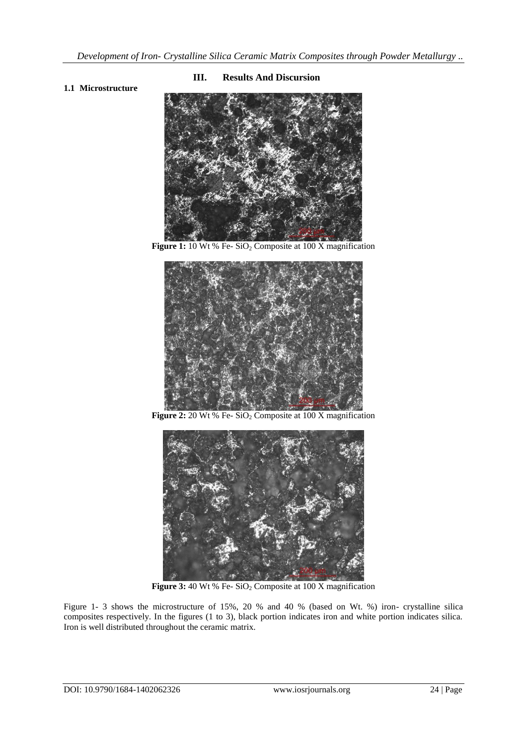### **1.1 Microstructure**

#### **III. Results And Discursion**



**Figure 1:** 10 Wt % Fe- SiO<sub>2</sub> Composite at 100 X magnification



**Figure 2:** 20 Wt % Fe- SiO<sub>2</sub> Composite at 100 X magnification



**Figure 3:** 40 Wt % Fe- SiO<sub>2</sub> Composite at 100 X magnification

Figure 1- 3 shows the microstructure of 15%, 20 % and 40 % (based on Wt. %) iron- crystalline silica composites respectively. In the figures (1 to 3), black portion indicates iron and white portion indicates silica. Iron is well distributed throughout the ceramic matrix.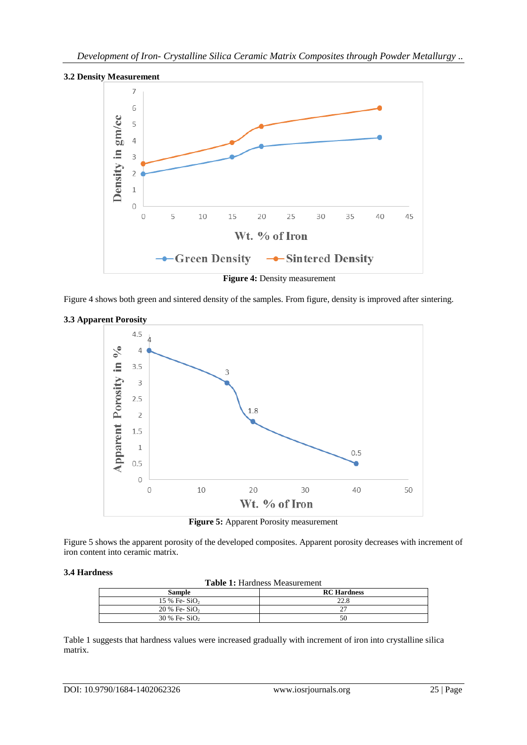



**Figure 4:** Density measurement

Figure 4 shows both green and sintered density of the samples. From figure, density is improved after sintering.



**3.3 Apparent Porosity**



Figure 5 shows the apparent porosity of the developed composites. Apparent porosity decreases with increment of iron content into ceramic matrix.

#### **3.4 Hardness**

**Table 1:** Hardness Measurement

| Tuble 1: Hardness measurement |                    |
|-------------------------------|--------------------|
| Sample                        | <b>RC</b> Hardness |
| $15\%$ Fe-SiO <sub>2</sub>    | 22.8               |
| $20\%$ Fe-SiO <sub>2</sub>    |                    |
| $30\%$ Fe-SiO <sub>2</sub>    | 50                 |

Table 1 suggests that hardness values were increased gradually with increment of iron into crystalline silica matrix.